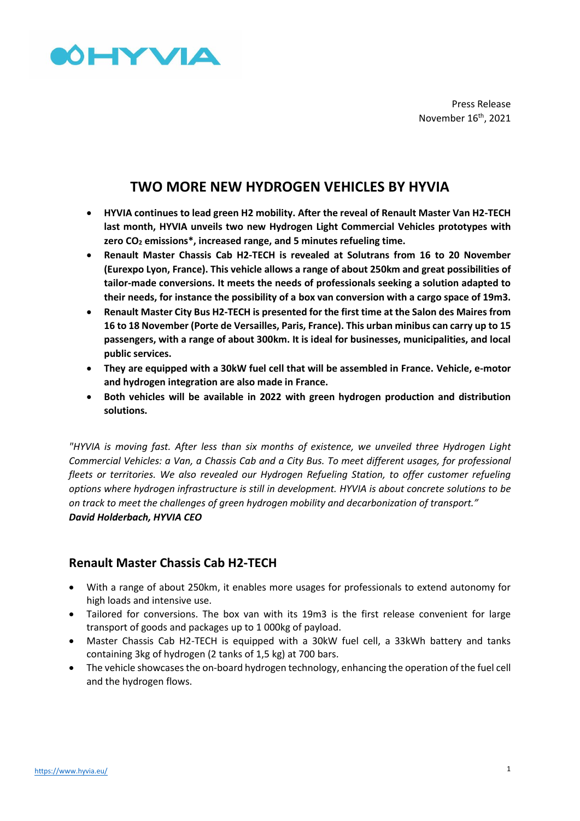

Press Release November 16<sup>th</sup>, 2021

# **TWO MORE NEW HYDROGEN VEHICLES BY HYVIA**

- **HYVIA continues to lead green H2 mobility. After the reveal of Renault Master Van H2-TECH last month, HYVIA unveils two new Hydrogen Light Commercial Vehicles prototypes with zero CO<sup>2</sup> emissions\*, increased range, and 5 minutes refueling time.**
- **Renault Master Chassis Cab H2-TECH is revealed at Solutrans from 16 to 20 November (Eurexpo Lyon, France). This vehicle allows a range of about 250km and great possibilities of tailor-made conversions. It meets the needs of professionals seeking a solution adapted to their needs, for instance the possibility of a box van conversion with a cargo space of 19m3.**
- **Renault Master City Bus H2-TECH is presented for the first time at the Salon des Maires from 16 to 18 November (Porte de Versailles, Paris, France). This urban minibus can carry up to 15 passengers, with a range of about 300km. It is ideal for businesses, municipalities, and local public services.**
- **They are equipped with a 30kW fuel cell that will be assembled in France. Vehicle, e-motor and hydrogen integration are also made in France.**
- **Both vehicles will be available in 2022 with green hydrogen production and distribution solutions.**

*"HYVIA is moving fast. After less than six months of existence, we unveiled three Hydrogen Light Commercial Vehicles: a Van, a Chassis Cab and a City Bus. To meet different usages, for professional fleets or territories. We also revealed our Hydrogen Refueling Station, to offer customer refueling options where hydrogen infrastructure is still in development. HYVIA is about concrete solutions to be on track to meet the challenges of green hydrogen mobility and decarbonization of transport." David Holderbach, HYVIA CEO*

# **Renault Master Chassis Cab H2-TECH**

- With a range of about 250km, it enables more usages for professionals to extend autonomy for high loads and intensive use.
- Tailored for conversions. The box van with its 19m3 is the first release convenient for large transport of goods and packages up to 1 000kg of payload.
- Master Chassis Cab H2-TECH is equipped with a 30kW fuel cell, a 33kWh battery and tanks containing 3kg of hydrogen (2 tanks of 1,5 kg) at 700 bars.
- The vehicle showcases the on-board hydrogen technology, enhancing the operation of the fuel cell and the hydrogen flows.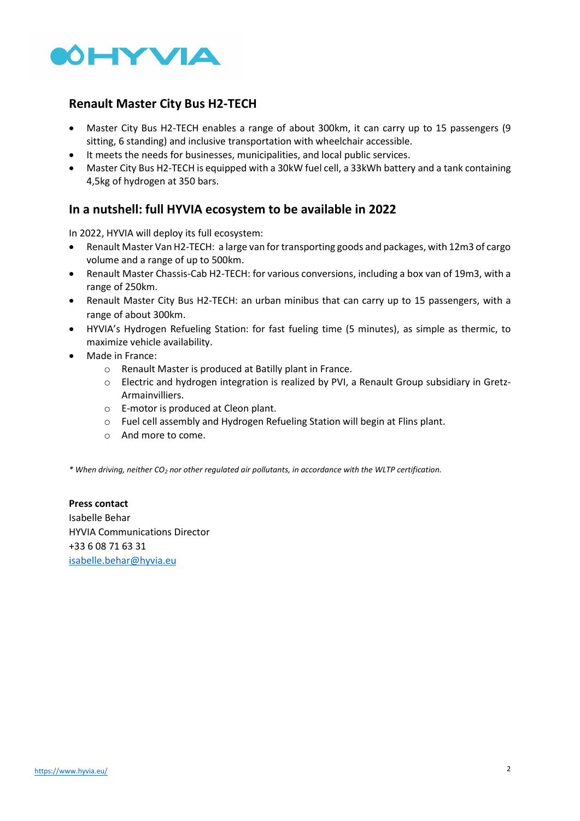

# **Renault Master City Bus H2-TECH**

- Master City Bus H2-TECH enables a range of about 300km, it can carry up to 15 passengers (9 sitting, 6 standing) and inclusive transportation with wheelchair accessible.
- It meets the needs for businesses, municipalities, and local public services.
- Master City Bus H2-TECH is equipped with a 30kW fuel cell, a 33kWh battery and a tank containing 4,5kg of hydrogen at 350 bars.

### **In a nutshell: full HYVIA ecosystem to be available in 2022**

In 2022, HYVIA will deploy its full ecosystem:

- Renault Master Van H2-TECH: a large van for transporting goods and packages, with 12m3 of cargo volume and a range of up to 500km.
- Renault Master Chassis-Cab H2-TECH: for various conversions, including a box van of 19m3, with a range of 250km.
- Renault Master City Bus H2-TECH: an urban minibus that can carry up to 15 passengers, with a range of about 300km.
- HYVIA's Hydrogen Refueling Station: for fast fueling time (5 minutes), as simple as thermic, to maximize vehicle availability.
- Made in France:
	- o Renault Master is produced at Batilly plant in France.
	- $\circ$  Electric and hydrogen integration is realized by PVI, a Renault Group subsidiary in Gretz-**Armainvilliers**
	- o E-motor is produced at Cleon plant.
	- o Fuel cell assembly and Hydrogen Refueling Station will begin at Flins plant.
	- o And more to come.

*\* When driving, neither CO<sup>2</sup> nor other regulated air pollutants, in accordance with the WLTP certification.*

**Press contact**  Isabelle Behar HYVIA Communications Director +33 6 08 71 63 31 [isabelle.behar@hyvia.eu](mailto:isabelle.behar@hyvia.eu)